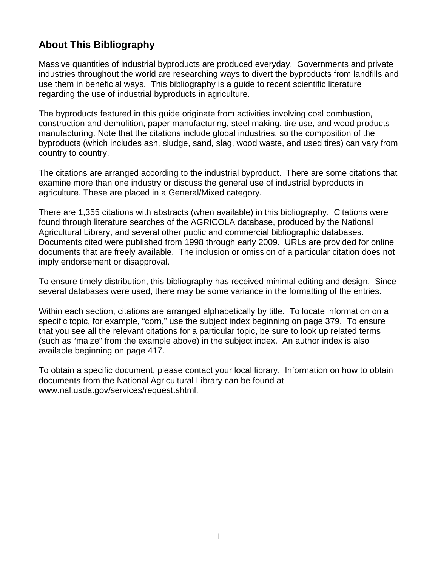## **About This Bibliography**

Massive quantities of industrial byproducts are produced everyday. Governments and private industries throughout the world are researching ways to divert the byproducts from landfills and use them in beneficial ways. This bibliography is a guide to recent scientific literature regarding the use of industrial byproducts in agriculture.

The byproducts featured in this guide originate from activities involving coal combustion, construction and demolition, paper manufacturing, steel making, tire use, and wood products manufacturing. Note that the citations include global industries, so the composition of the byproducts (which includes ash, sludge, sand, slag, wood waste, and used tires) can vary from country to country.

The citations are arranged according to the industrial byproduct. There are some citations that examine more than one industry or discuss the general use of industrial byproducts in agriculture. These are placed in a General/Mixed category.

There are 1,355 citations with abstracts (when available) in this bibliography. Citations were found through literature searches of the AGRICOLA database, produced by the National Agricultural Library, and several other public and commercial bibliographic databases. Documents cited were published from 1998 through early 2009. URLs are provided for online documents that are freely available. The inclusion or omission of a particular citation does not imply endorsement or disapproval.

To ensure timely distribution, this bibliography has received minimal editing and design. Since several databases were used, there may be some variance in the formatting of the entries.

Within each section, citations are arranged alphabetically by title. To locate information on a specific topic, for example, "corn," use the subject index beginning on page 379. To ensure that you see all the relevant citations for a particular topic, be sure to look up related terms (such as "maize" from the example above) in the subject index. An author index is also available beginning on page 417.

To obtain a specific document, please contact your local library. Information on how to obtain documents from the National Agricultural Library can be found at www.nal.usda.gov/services/request.shtml.